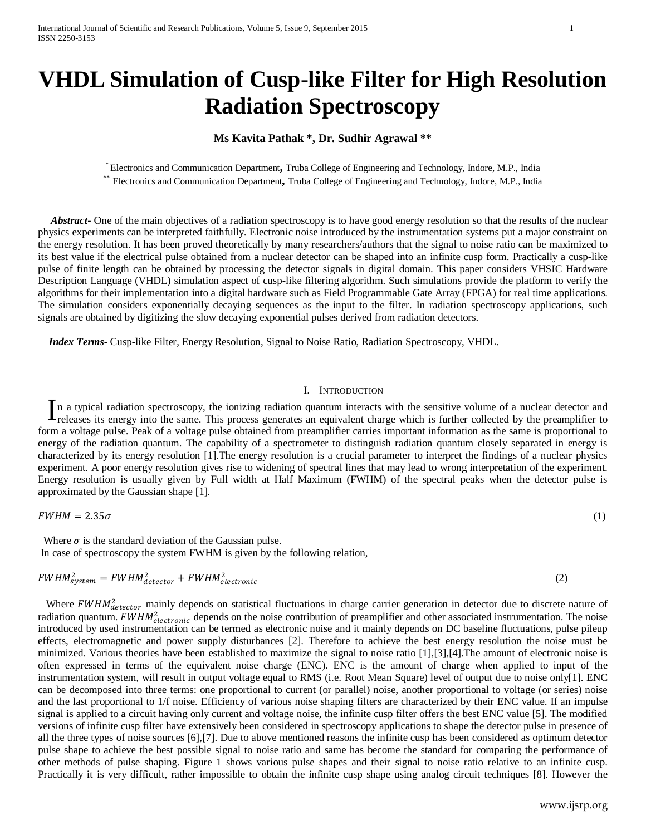# **VHDL Simulation of Cusp-like Filter for High Resolution Radiation Spectroscopy**

## **Ms Kavita Pathak \*, Dr. Sudhir Agrawal \*\***

\* Electronics and Communication Department**,** Truba College of Engineering and Technology, Indore, M.P., India \*\* Electronics and Communication Department**,** Truba College of Engineering and Technology, Indore, M.P., India

*Abstract* One of the main objectives of a radiation spectroscopy is to have good energy resolution so that the results of the nuclear physics experiments can be interpreted faithfully. Electronic noise introduced by the instrumentation systems put a major constraint on the energy resolution. It has been proved theoretically by many researchers/authors that the signal to noise ratio can be maximized to its best value if the electrical pulse obtained from a nuclear detector can be shaped into an infinite cusp form. Practically a cusp-like pulse of finite length can be obtained by processing the detector signals in digital domain. This paper considers VHSIC Hardware Description Language (VHDL) simulation aspect of cusp-like filtering algorithm. Such simulations provide the platform to verify the algorithms for their implementation into a digital hardware such as Field Programmable Gate Array (FPGA) for real time applications. The simulation considers exponentially decaying sequences as the input to the filter. In radiation spectroscopy applications, such signals are obtained by digitizing the slow decaying exponential pulses derived from radiation detectors.

 *Index Terms*- Cusp-like Filter, Energy Resolution, Signal to Noise Ratio, Radiation Spectroscopy, VHDL.

### I. INTRODUCTION

n a typical radiation spectroscopy, the ionizing radiation quantum interacts with the sensitive volume of a nuclear detector and In a typical radiation spectroscopy, the ionizing radiation quantum interacts with the sensitive volume of a nuclear detector and releases its energy into the same. This process generates an equivalent charge which is furt form a voltage pulse. Peak of a voltage pulse obtained from preamplifier carries important information as the same is proportional to energy of the radiation quantum. The capability of a spectrometer to distinguish radiation quantum closely separated in energy is characterized by its energy resolution [1].The energy resolution is a crucial parameter to interpret the findings of a nuclear physics experiment. A poor energy resolution gives rise to widening of spectral lines that may lead to wrong interpretation of the experiment. Energy resolution is usually given by Full width at Half Maximum (FWHM) of the spectral peaks when the detector pulse is approximated by the Gaussian shape [1].

$$
FWHM = 2.35\sigma \tag{1}
$$

Where  $\sigma$  is the standard deviation of the Gaussian pulse. In case of spectroscopy the system FWHM is given by the following relation,

$$
FWHM_{system}^2 = FWHM_{detector}^2 + FWHM_{electronic}^2 \tag{2}
$$

Where  $FWHM_{detector}^2$  mainly depends on statistical fluctuations in charge carrier generation in detector due to discrete nature of radiation quantum.  $FWHM_{electronic}^2$  depends on the noise contribution of preamplifier and other associated instrumentation. The noise introduced by used instrumentation can be termed as electronic noise and it mainly depends on DC baseline fluctuations, pulse pileup effects, electromagnetic and power supply disturbances [2]. Therefore to achieve the best energy resolution the noise must be minimized. Various theories have been established to maximize the signal to noise ratio [1],[3],[4].The amount of electronic noise is often expressed in terms of the equivalent noise charge (ENC). ENC is the amount of charge when applied to input of the instrumentation system, will result in output voltage equal to RMS (i.e. Root Mean Square) level of output due to noise only[1]. ENC can be decomposed into three terms: one proportional to current (or parallel) noise, another proportional to voltage (or series) noise and the last proportional to 1/f noise. Efficiency of various noise shaping filters are characterized by their ENC value. If an impulse signal is applied to a circuit having only current and voltage noise, the infinite cusp filter offers the best ENC value [5]. The modified versions of infinite cusp filter have extensively been considered in spectroscopy applications to shape the detector pulse in presence of all the three types of noise sources [6],[7]. Due to above mentioned reasons the infinite cusp has been considered as optimum detector pulse shape to achieve the best possible signal to noise ratio and same has become the standard for comparing the performance of other methods of pulse shaping. Figure 1 shows various pulse shapes and their signal to noise ratio relative to an infinite cusp. Practically it is very difficult, rather impossible to obtain the infinite cusp shape using analog circuit techniques [8]. However the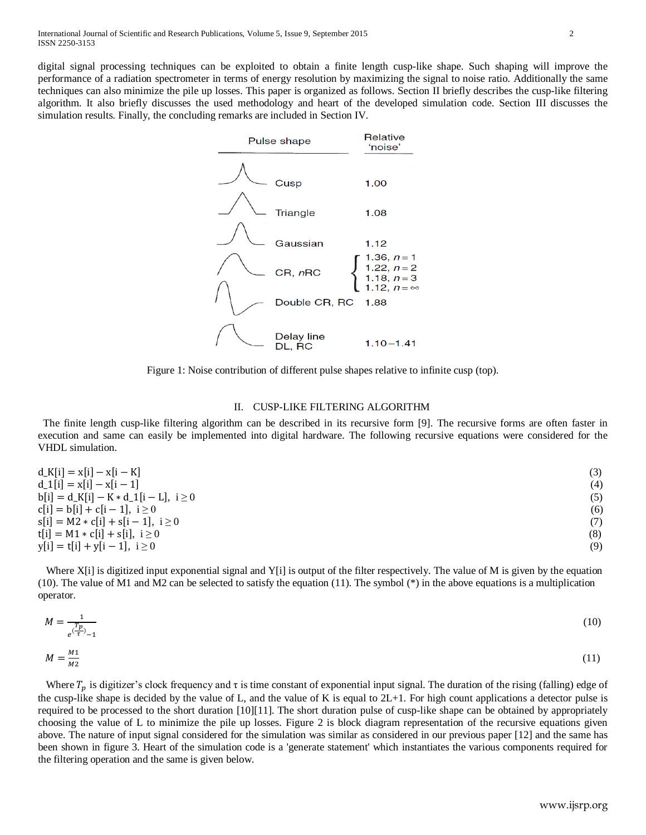digital signal processing techniques can be exploited to obtain a finite length cusp-like shape. Such shaping will improve the performance of a radiation spectrometer in terms of energy resolution by maximizing the signal to noise ratio. Additionally the same techniques can also minimize the pile up losses. This paper is organized as follows. Section II briefly describes the cusp-like filtering algorithm. It also briefly discusses the used methodology and heart of the developed simulation code. Section III discusses the simulation results. Finally, the concluding remarks are included in Section IV.



Figure 1: Noise contribution of different pulse shapes relative to infinite cusp (top).

## II. CUSP-LIKE FILTERING ALGORITHM

 The finite length cusp-like filtering algorithm can be described in its recursive form [9]. The recursive forms are often faster in execution and same can easily be implemented into digital hardware. The following recursive equations were considered for the VHDL simulation.

| $d_K[i] = x[i] - x[i - K]$                | (3) |
|-------------------------------------------|-----|
| $d_1[i] = x[i] - x[i-1]$                  | (4) |
| $b[i] = d_K[i] - K * d_1[i - L], i \ge 0$ | (5) |
| $c[i] = b[i] + c[i-1], i \ge 0$           | (6) |
| $s[i] = M2 * c[i] + s[i - 1], i \ge 0$    | (7) |
| $t[i] = M1 * c[i] + s[i], i \ge 0$        | (8) |
| $y[i] = t[i] + y[i - 1], i \ge 0$         | (9) |
|                                           |     |

Where  $X[i]$  is digitized input exponential signal and  $Y[i]$  is output of the filter respectively. The value of M is given by the equation (10). The value of M1 and M2 can be selected to satisfy the equation (11). The symbol (\*) in the above equations is a multiplication operator.

$$
M = \frac{1}{e^{\left(\frac{T_p}{t}\right)} - 1} \tag{10}
$$

$$
M = \frac{M_1}{M_2} \tag{11}
$$

Where  $T_n$  is digitizer's clock frequency and  $\tau$  is time constant of exponential input signal. The duration of the rising (falling) edge of the cusp-like shape is decided by the value of L, and the value of K is equal to  $2L+1$ . For high count applications a detector pulse is required to be processed to the short duration [10][11]. The short duration pulse of cusp-like shape can be obtained by appropriately choosing the value of L to minimize the pile up losses. Figure 2 is block diagram representation of the recursive equations given above. The nature of input signal considered for the simulation was similar as considered in our previous paper [12] and the same has been shown in figure 3. Heart of the simulation code is a 'generate statement' which instantiates the various components required for the filtering operation and the same is given below.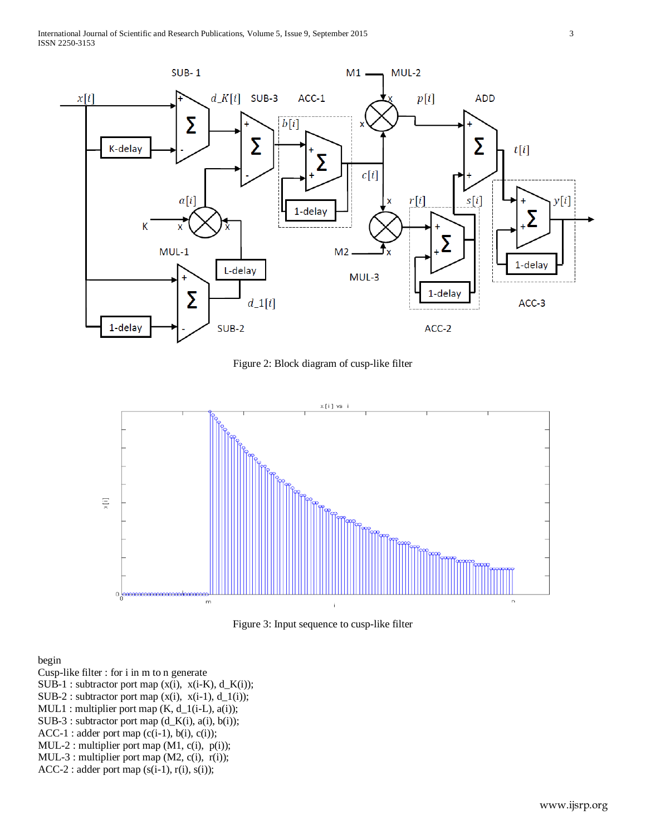

Figure 2: Block diagram of cusp-like filter



Figure 3: Input sequence to cusp-like filter

begin

Cusp-like filter : for i in m to n generate

- SUB-1 : subtractor port map (x(i), x(i-K), d\_K(i));
- SUB-2 : subtractor port map  $(x(i), x(i-1), d_1(i));$
- $MUL1$ : multiplier port map  $(K, d_1(i-L), a(i));$
- SUB-3 : subtractor port map (d\_K(i), a(i), b(i));
- $ACC-1: adder port map (c(i-1), b(i), c(i));$
- MUL-2 : multiplier port map (M1, c(i), p(i));
- MUL-3 : multiplier port map (M2, c(i), r(i));
- ACC-2 : adder port map (s(i-1), r(i), s(i));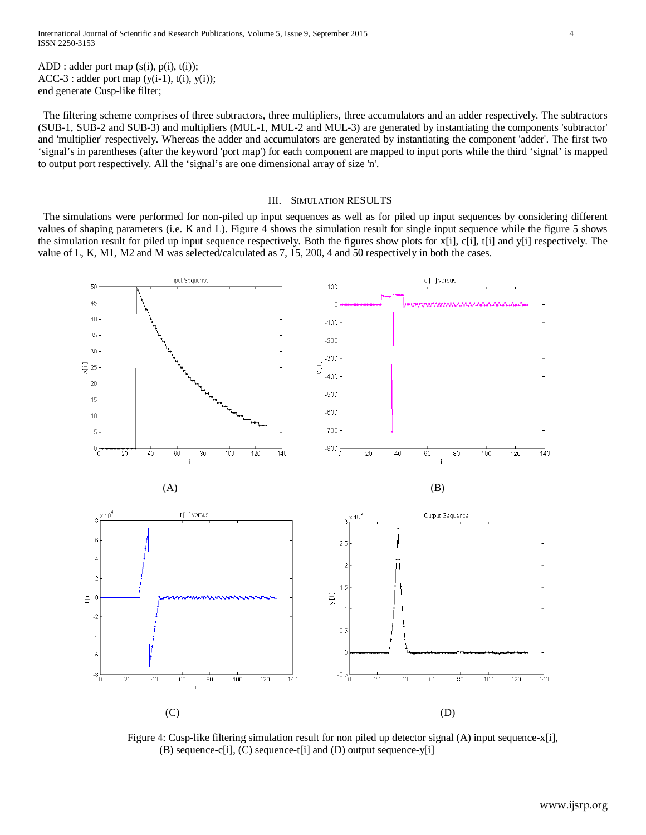ADD : adder port map (s(i), p(i), t(i));  $ACC-3: adder port map (y(i-1), t(i), y(i));$ end generate Cusp-like filter;

 The filtering scheme comprises of three subtractors, three multipliers, three accumulators and an adder respectively. The subtractors (SUB-1, SUB-2 and SUB-3) and multipliers (MUL-1, MUL-2 and MUL-3) are generated by instantiating the components 'subtractor' and 'multiplier' respectively. Whereas the adder and accumulators are generated by instantiating the component 'adder'. The first two 'signal's in parentheses (after the keyword 'port map') for each component are mapped to input ports while the third 'signal' is mapped to output port respectively. All the 'signal's are one dimensional array of size 'n'.

#### III. SIMULATION RESULTS

 The simulations were performed for non-piled up input sequences as well as for piled up input sequences by considering different values of shaping parameters (i.e. K and L). Figure 4 shows the simulation result for single input sequence while the figure 5 shows the simulation result for piled up input sequence respectively. Both the figures show plots for x[i], c[i], t[i] and y[i] respectively. The value of L, K, M1, M2 and M was selected/calculated as 7, 15, 200, 4 and 50 respectively in both the cases.



Figure 4: Cusp-like filtering simulation result for non piled up detector signal (A) input sequence-x[i], (B) sequence-c[i], (C) sequence-t[i] and (D) output sequence-y[i]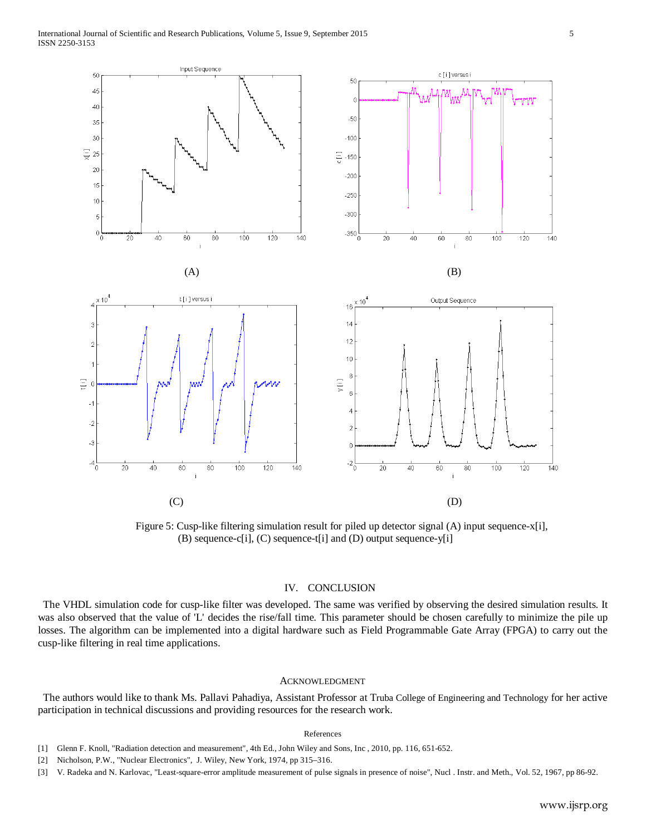![](_page_4_Figure_1.jpeg)

 Figure 5: Cusp-like filtering simulation result for piled up detector signal (A) input sequence-x[i], (B) sequence-c[i], (C) sequence-t[i] and (D) output sequence-y[i]

## IV. CONCLUSION

 The VHDL simulation code for cusp-like filter was developed. The same was verified by observing the desired simulation results. It was also observed that the value of 'L' decides the rise/fall time. This parameter should be chosen carefully to minimize the pile up losses. The algorithm can be implemented into a digital hardware such as Field Programmable Gate Array (FPGA) to carry out the cusp-like filtering in real time applications.

#### ACKNOWLEDGMENT

 The authors would like to thank Ms. Pallavi Pahadiya, Assistant Professor at Truba College of Engineering and Technology for her active participation in technical discussions and providing resources for the research work.

#### References

- [2] Nicholson, P.W., "Nuclear Electronics", J. Wiley, New York, 1974, pp 315–316.
- [3] V. Radeka and N. Karlovac, ["Least-square-error amplitude measurement of pulse signals in presence of noise"](http://www.sciencedirect.com/science/article/pii/0029554X67905617), Nucl . Instr. and Meth., Vol. 52, 1967, pp 86-92.

<sup>[1]</sup> Glenn F. Knoll, "Radiation detection and measurement", 4th Ed., John Wiley and Sons, Inc , 2010, pp. 116, 651-652.